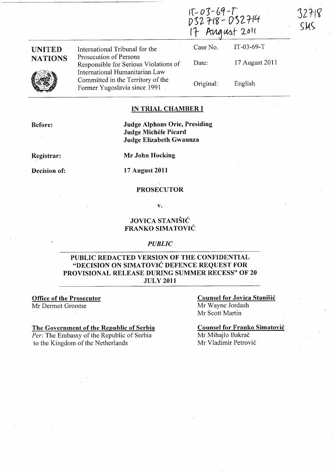$15 - 03 - 69 - T$  $D32718 - D32714$ 17 August 2011

## UNITED **NATIONS**

International Tribunal for the Prosecution of Persons Responsible for Serious Violations of International Humanitarian Law Committed in the Territory of the Former Yugoslavia since 1991

Case No. IT -03-69-T 17 August 2011 Date: Original: English

32718

 $<sub>5</sub>$ </sub>

### IN TRIAL CHAMBER I

Before:

Judge Alphons Orie, Presiding Judge Michele Picard Judge Elizabeth Gwaunza

## Registrar:

Mr John Hocking

Decision of: 17 August 2011

#### PROSECUTOR

v.

## JOVICA STANISIC FRANKO SIMATOVIC

#### *PUBLIC*

### PUBLIC REDACTED VERSION OF THE CONFIDENTIAL "DECISION ON SIMATOVIĆ DEFENCE REQUEST FOR PROVISIONAL RELEASE DURING SUMMER RECESS" OF 20 JULY 2011

Office of the Prosecutor

Mr Dermot Groome

#### The Government of the Republic of Serbia

*Per:* The Embassy of the Republic of Serbia to the Kingdom of the Netherlands

Counsel for Jovica Stanisic Mr Wayne lordash Mr Scott Martin

Counsel for Franko Simatovic Mr Mihajlo Bakrač Mr Vladimir Petrovic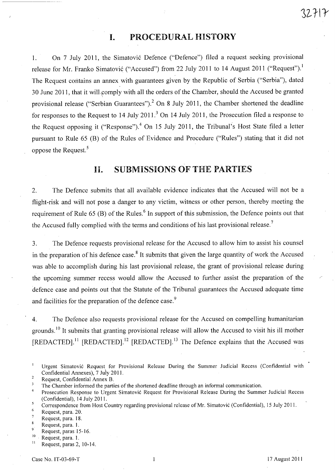# **I.** PROCEDURAL HISTORY

1. On 7 July 2011, the Simatović Defence ("Defence") filed a request seeking provisional release for Mr. Franko Simatović ("Accused") from 22 July 2011 to 14 August 2011 ("Request").<sup>1</sup> The Request contains an annex with guarantees given by the Republic of Serbia ("Serbia"), dated 30 June 2011, that it will comply with all the orders of the Chamber, should the Accused be granted provisional release ("Serbian Guarantees").<sup>2</sup> On 8 July 2011, the Chamber shortened the deadline for responses to the Request to 14 July 2011.<sup>3</sup> On 14 July 2011, the Prosecution filed a response to the Request opposing it ("Response").<sup>4</sup> On 15 July 2011, the Tribunal's Host State filed a letter pursuant to Rule 65 (B) of the Rules of Evidence and Procedure ("Rules") stating that it did not oppose the Request.<sup>5</sup>

## **11.** SUBMISSIONS OF THE PARTIES

2. The Defence submits that all available evidence indicates that the Accused will not be a flight-risk and will not pose a danger to any victim, witness or other person, thereby meeting the requirement of Rule 65 (B) of the Rules.<sup>6</sup> In support of this submission, the Defence points out that the Accused fully complied with the terms and conditions of his last provisional release.<sup>7</sup>

3. The Defence requests provisional release for the Accused to allow him to assist his counsel in the preparation of his defence case.<sup>8</sup> It submits that given the large quantity of work the Accused was able to accomplish during his last provisional release, the grant of provisional release during the upcoming summer recess would allow the Accused to further assist the preparation of the defence case and points out that the Statute of the Tribunal guarantees the Accused adequate time and facilities for the preparation of the defence case.<sup>9</sup>

4. The Defence also requests provisional release for the Accused on compelling humanitarian grounds.<sup>10</sup> It submits that granting provisional release will allow the Accused to visit his ill mother [REDACTED].<sup>11</sup> [REDACTED].<sup>12</sup> [REDACTED].<sup>13</sup> The Defence explains that the Accused was

 $32HY$ 

Urgent Simatovic Request for Provisional Release During the Summer Judicial Recess (Confidential with Confidential Annexes), 7 July 2011.  $\overline{2}$ 

Request, Confidential Annex B.

 $\overline{\mathbf{3}}$ The Chamber informed the parties of the shortened deadline through an informal communication.

 $\overline{4}$ Prosecution Response to Urgent Simatović Request for Provisional Release During the Summer Judicial Recess (Confidential), 14 July 2011.

 $\mathfrak{s}$ Correspondence from Host Country regarding provisional release of Mr. Simatovic (Confidential), 15 July 2011.

<sup>6</sup>  Request, para. 20.

Request, para. 18.

Request, para. I.

<sup>9</sup> Request, paras 15-16.

 $10$  Request, para. 1.

Request, paras 2, 10-14.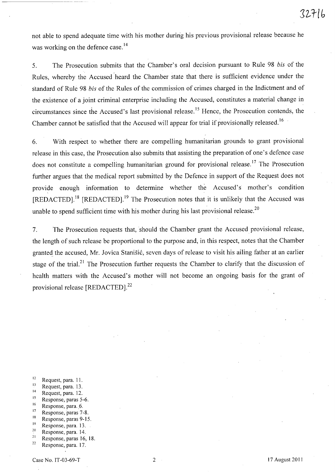not able to spend adequate time with his mother during his previous provisional release because he was working on the defence case.<sup>14</sup>

5. The Prosecution submits that the Chamber's oral decision pursuant to Rule 98 *bis* of the Rules, whereby the Accused heard the Chamber state that there is sufficient evidence under the standard of Rule 98 *bis* of the Rules of the commission of crimes charged in the Indictment and of the existence of a joint criminal enterprise including the Accused, constitutes a material change in circumstances since the Accused's last provisional release.<sup>15</sup> Hence, the Prosecution contends, the Chamber cannot be satisfied that the Accused will appear for trial if provisionally released. <sup>16</sup>

6. With respect to whether there are compelling humanitarian grounds to grant provisional release in this case, the Prosecution also submits that assisting the preparation of one's defence case does not constitute a compelling humanitarian ground for provisional release.<sup>17</sup> The Prosecution further argues that the medical report submitted by the Defence in support of the Request does not provide enough information to determine whether the Accused's mother's condition [REDACTED].<sup>18</sup> [REDACTED].<sup>19</sup> The Prosecution notes that it is unlikely that the Accused was unable to spend sufficient time with his mother during his last provisional release.<sup>20</sup>

7. The Prosecution requests that, should the Chamber grant the Accused provisional release, the length of such release be proportional to the purpose and, in this respect, notes that the Chamber granted the accused, Mr. Jovica Stanišić, seven days of release to visit his ailing father at an earlier stage of the trial.<sup>21</sup> The Prosecution further requests the Chamber to clarify that the discussion of health matters with the Accused's mother will not become an ongoing basis for the grant of provisional release [REDACTED].<sup>22</sup>

- 
- 
- 
- 
- 
- 
- 
- 
- 
- <sup>12</sup> Request, para. 11.<br>
<sup>13</sup> Request, para. 12.<br>
<sup>14</sup> Response, paras 5-6.<br>
<sup>16</sup> Response, paras 5-6.<br>
<sup>17</sup> Response, paras 7-8.<br>
<sup>18</sup> Response, paras 9-15.<br>
<sup>19</sup> Response, para. 13.<br>
<sup>20</sup> Response, para. 14.<br>
<sup>21</sup> Respo
-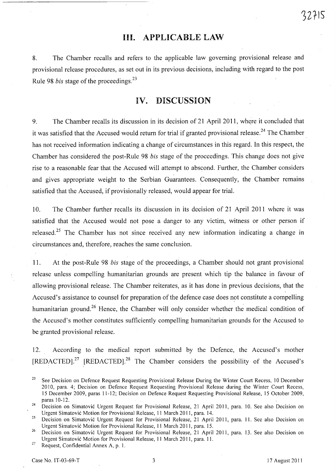## **Ill.** APPLICABLE LAW

8. The Chamber recalls and refers to the applicable law governing provisional release and provisional release procedures, as set out in its previous decisions, including with regard to the post Rule 98 *bis* stage of the proceedings.23

## IV. DISCUSSION

9. The Chamber recalls its discussion in its decision of 21 April 2011, where it concluded that it was satisfied that the Accused would return for trial if granted provisional release.<sup>24</sup> The Chamber has not received information indicating a change of circumstances in this regard. In this respect, the Chamber has considered the post-Rule *98bis* stage of the proceedings. This change does not give rise to a reasonable fear that the Accused will attempt to abscond. Further, the Chamber considers and gives appropriate weight to the Serbian Guarantees. Consequently, the Chamber remains satisfied that the Accused, if provisionally released, would appear for trial.

10. The Chamber further recalls its discussion in its decision of 21 April 2011 where it was satisfied that the Accused would not pose a danger to any victim, witness or other person if released.<sup>25</sup> The Chamber has not since received any new information indicating a change in circumstances and, therefore, reaches the same conclusion.

11. At the post-Rule 98 *bis* stage of the proceedings, a Chamber should not grant provisional release unless compelling humanitarian grounds are present which tip the balance in favour of allowing provisional release. The Chamber reiterates, as it has done in previous decisions, that the Accused's assistance to counsel for preparation of the defence case does not constitute a compelling humanitarian ground.<sup>26</sup> Hence, the Chamber will only consider whether the medical condition of the Accused's mother constitutes sufficiently compelling humanitarian grounds for the Accused to be granted provisional release.

12. According to the medical report submitted by the Defence, the Accused's mother [REDACTED].<sup>27</sup> [REDACTED].<sup>28</sup> The Chamber considers the possibility of the Accused's

<sup>&</sup>lt;sup>23</sup> See Decision on Defence Request Requesting Provisional Release During the Winter Court Recess, 10 December 2010, para. 4; Decision on Defence Request Requesting Provisional Release during the Winter Court Recess, 15 December 2009, paras 11-12; Decision on Defence Request Requesting Provisional Release, 15 October 2009, paras 10-12.

<sup>&</sup>lt;sup>24</sup> Decision on Simatović Urgent Request for Provisional Release, 21 April 2011, para. 10. See also Decision on Urgent Simatovic Motion for Provisional Release, 11 March 2011, para. 14.

<sup>&</sup>lt;sup>25</sup> Decision on Simatović Urgent Request for Provisional Release, 21 April 2011, para. 11. See also Decision on Urgent Simatovic Motion for Provisional Release, 11 March 2011, para. 15.

<sup>&</sup>lt;sup>26</sup> Decision on Simatović Urgent Request for Provisional Release, 21 April 2011, para. 13. See also Decision on Urgent Simatovic Motion for Provisional Release, 11 March 2011, para. 11.

<sup>&</sup>lt;sup>27</sup> Request, Confidential Annex A, p. 1.